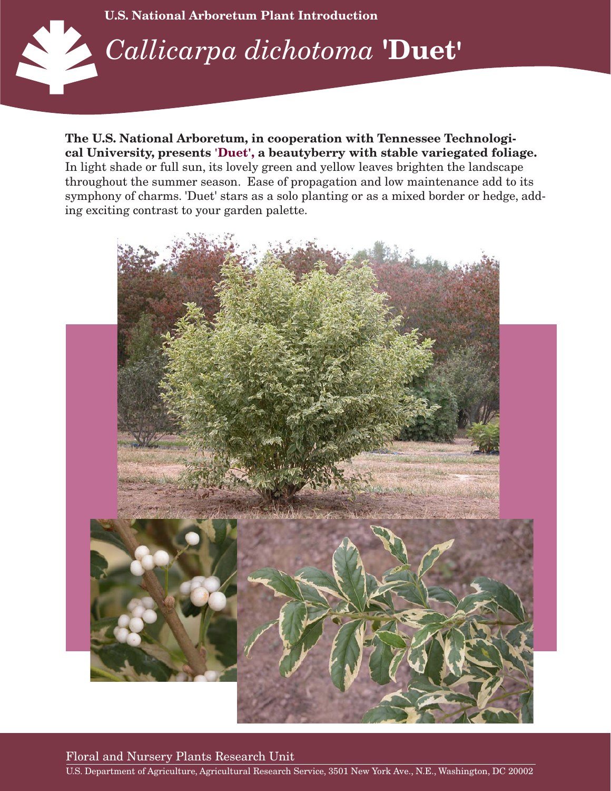

**The U.S. National Arboretum, in cooperation with Tennessee Technological University, presents 'Duet', a beautyberry with stable variegated foliage.** In light shade or full sun, its lovely green and yellow leaves brighten the landscape throughout the summer season. Ease of propagation and low maintenance add to its symphony of charms. 'Duet' stars as a solo planting or as a mixed border or hedge, adding exciting contrast to your garden palette.



Floral and Nursery Plants Research Unit

U.S. Department of Agriculture, Agricultural Research Service, 3501 New York Ave., N.E., Washington, DC 20002